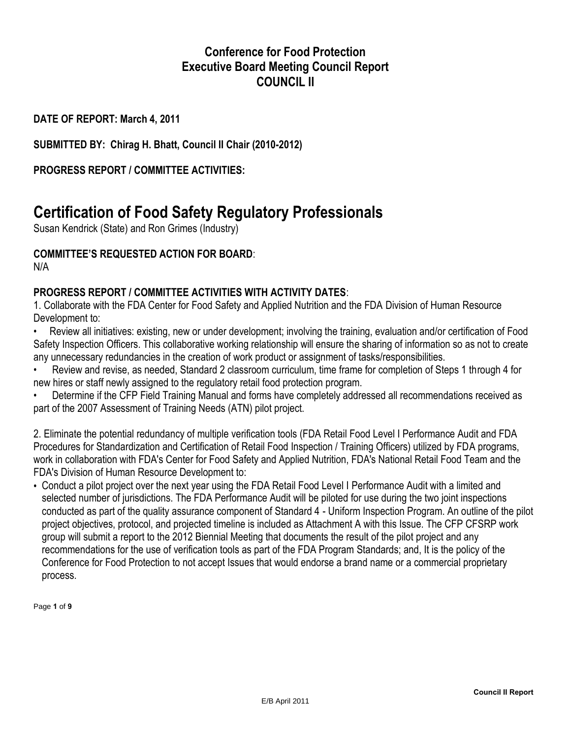### **Conference for Food Protection Executive Board Meeting Council Report COUNCIL II**

**DATE OF REPORT: March 4, 2011**

**SUBMITTED BY: Chirag H. Bhatt, Council II Chair (2010-2012)**

**PROGRESS REPORT / COMMITTEE ACTIVITIES:**

# **Certification of Food Safety Regulatory Professionals**

Susan Kendrick (State) and Ron Grimes (Industry)

### **COMMITTEE'S REQUESTED ACTION FOR BOARD**:

N/A

### **PROGRESS REPORT / COMMITTEE ACTIVITIES WITH ACTIVITY DATES**:

1. Collaborate with the FDA Center for Food Safety and Applied Nutrition and the FDA Division of Human Resource Development to:

• Review all initiatives: existing, new or under development; involving the training, evaluation and/or certification of Food Safety Inspection Officers. This collaborative working relationship will ensure the sharing of information so as not to create any unnecessary redundancies in the creation of work product or assignment of tasks/responsibilities.

• Review and revise, as needed, Standard 2 classroom curriculum, time frame for completion of Steps 1 through 4 for new hires or staff newly assigned to the regulatory retail food protection program.

• Determine if the CFP Field Training Manual and forms have completely addressed all recommendations received as part of the 2007 Assessment of Training Needs (ATN) pilot project.

2. Eliminate the potential redundancy of multiple verification tools (FDA Retail Food Level I Performance Audit and FDA Procedures for Standardization and Certification of Retail Food Inspection / Training Officers) utilized by FDA programs, work in collaboration with FDA's Center for Food Safety and Applied Nutrition, FDA's National Retail Food Team and the FDA's Division of Human Resource Development to:

• Conduct a pilot project over the next year using the FDA Retail Food Level I Performance Audit with a limited and selected number of jurisdictions. The FDA Performance Audit will be piloted for use during the two joint inspections conducted as part of the quality assurance component of Standard 4 - Uniform Inspection Program. An outline of the pilot project objectives, protocol, and projected timeline is included as Attachment A with this Issue. The CFP CFSRP work group will submit a report to the 2012 Biennial Meeting that documents the result of the pilot project and any recommendations for the use of verification tools as part of the FDA Program Standards; and, It is the policy of the Conference for Food Protection to not accept Issues that would endorse a brand name or a commercial proprietary process.

Page **1** of **9**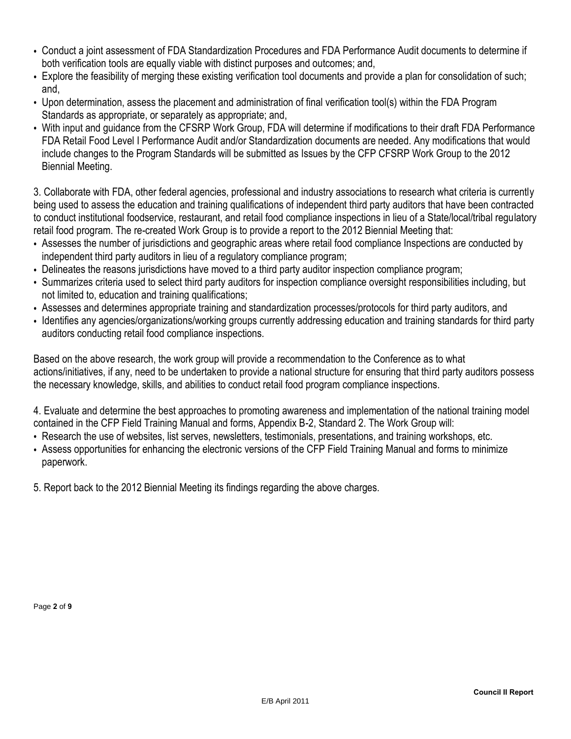- Conduct a joint assessment of FDA Standardization Procedures and FDA Performance Audit documents to determine if both verification tools are equally viable with distinct purposes and outcomes; and,
- Explore the feasibility of merging these existing verification tool documents and provide a plan for consolidation of such; and,
- Upon determination, assess the placement and administration of final verification tool(s) within the FDA Program Standards as appropriate, or separately as appropriate; and,
- With input and guidance from the CFSRP Work Group, FDA will determine if modifications to their draft FDA Performance FDA Retail Food Level I Performance Audit and/or Standardization documents are needed. Any modifications that would include changes to the Program Standards will be submitted as Issues by the CFP CFSRP Work Group to the 2012 Biennial Meeting.

3. Collaborate with FDA, other federal agencies, professional and industry associations to research what criteria is currently being used to assess the education and training qualifications of independent third party auditors that have been contracted to conduct institutional foodservice, restaurant, and retail food compliance inspections in lieu of a State/local/tribal regulatory retail food program. The re-created Work Group is to provide a report to the 2012 Biennial Meeting that:

- Assesses the number of jurisdictions and geographic areas where retail food compliance Inspections are conducted by independent third party auditors in lieu of a regulatory compliance program;
- Delineates the reasons jurisdictions have moved to a third party auditor inspection compliance program;
- Summarizes criteria used to select third party auditors for inspection compliance oversight responsibilities including, but not limited to, education and training qualifications;
- Assesses and determines appropriate training and standardization processes/protocols for third party auditors, and
- Identifies any agencies/organizations/working groups currently addressing education and training standards for third party auditors conducting retail food compliance inspections.

Based on the above research, the work group will provide a recommendation to the Conference as to what actions/initiatives, if any, need to be undertaken to provide a national structure for ensuring that third party auditors possess the necessary knowledge, skills, and abilities to conduct retail food program compliance inspections.

4. Evaluate and determine the best approaches to promoting awareness and implementation of the national training model contained in the CFP Field Training Manual and forms, Appendix B-2, Standard 2. The Work Group will:

- Research the use of websites, list serves, newsletters, testimonials, presentations, and training workshops, etc.
- Assess opportunities for enhancing the electronic versions of the CFP Field Training Manual and forms to minimize paperwork.

5. Report back to the 2012 Biennial Meeting its findings regarding the above charges.

Page **2** of **9**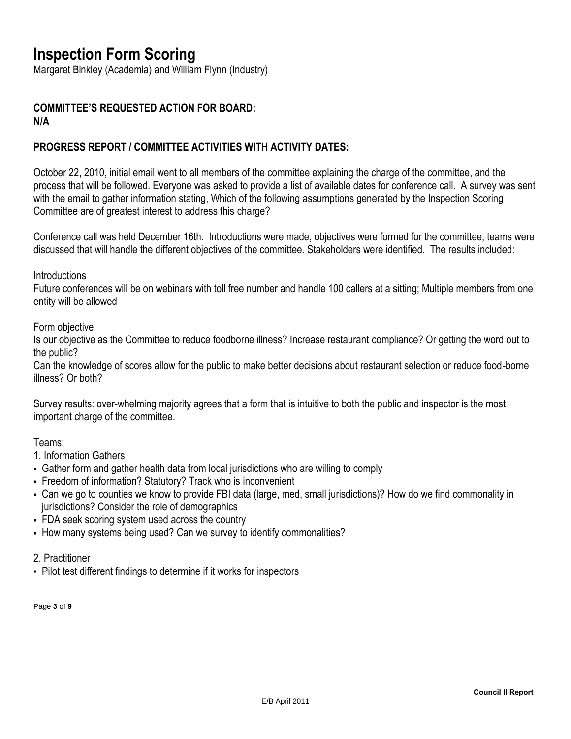## **Inspection Form Scoring**

Margaret Binkley (Academia) and William Flynn (Industry)

#### **COMMITTEE'S REQUESTED ACTION FOR BOARD: N/A**

#### **PROGRESS REPORT / COMMITTEE ACTIVITIES WITH ACTIVITY DATES:**

October 22, 2010, initial email went to all members of the committee explaining the charge of the committee, and the process that will be followed. Everyone was asked to provide a list of available dates for conference call. A survey was sent with the email to gather information stating, Which of the following assumptions generated by the Inspection Scoring Committee are of greatest interest to address this charge?

Conference call was held December 16th. Introductions were made, objectives were formed for the committee, teams were discussed that will handle the different objectives of the committee. Stakeholders were identified. The results included:

**Introductions** 

Future conferences will be on webinars with toll free number and handle 100 callers at a sitting; Multiple members from one entity will be allowed

Form objective

Is our objective as the Committee to reduce foodborne illness? Increase restaurant compliance? Or getting the word out to the public?

Can the knowledge of scores allow for the public to make better decisions about restaurant selection or reduce food-borne illness? Or both?

Survey results: over-whelming majority agrees that a form that is intuitive to both the public and inspector is the most important charge of the committee.

Teams:

1. Information Gathers

- Gather form and gather health data from local jurisdictions who are willing to comply
- Freedom of information? Statutory? Track who is inconvenient
- Can we go to counties we know to provide FBI data (large, med, small jurisdictions)? How do we find commonality in jurisdictions? Consider the role of demographics
- FDA seek scoring system used across the country
- How many systems being used? Can we survey to identify commonalities?
- 2. Practitioner
- Pilot test different findings to determine if it works for inspectors

Page **3** of **9**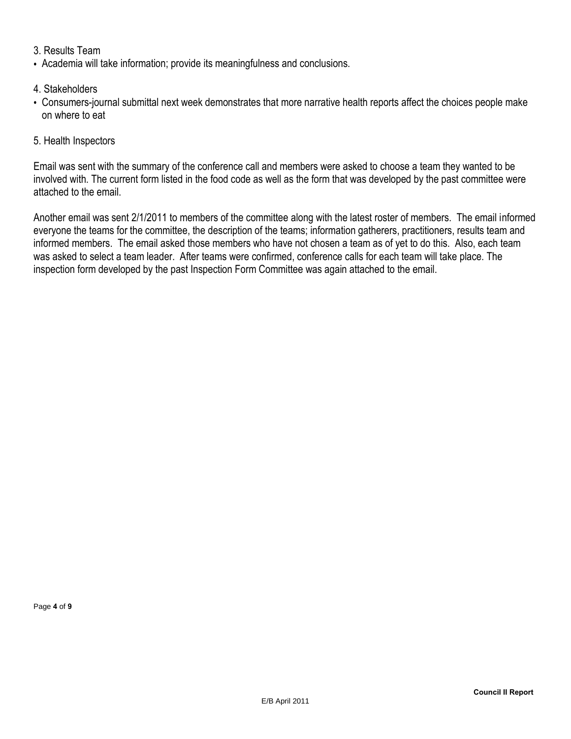#### 3. Results Team

• Academia will take information; provide its meaningfulness and conclusions.

#### 4. Stakeholders

• Consumers-journal submittal next week demonstrates that more narrative health reports affect the choices people make on where to eat

#### 5. Health Inspectors

Email was sent with the summary of the conference call and members were asked to choose a team they wanted to be involved with. The current form listed in the food code as well as the form that was developed by the past committee were attached to the email.

Another email was sent 2/1/2011 to members of the committee along with the latest roster of members. The email informed everyone the teams for the committee, the description of the teams; information gatherers, practitioners, results team and informed members. The email asked those members who have not chosen a team as of yet to do this. Also, each team was asked to select a team leader. After teams were confirmed, conference calls for each team will take place. The inspection form developed by the past Inspection Form Committee was again attached to the email.

Page **4** of **9**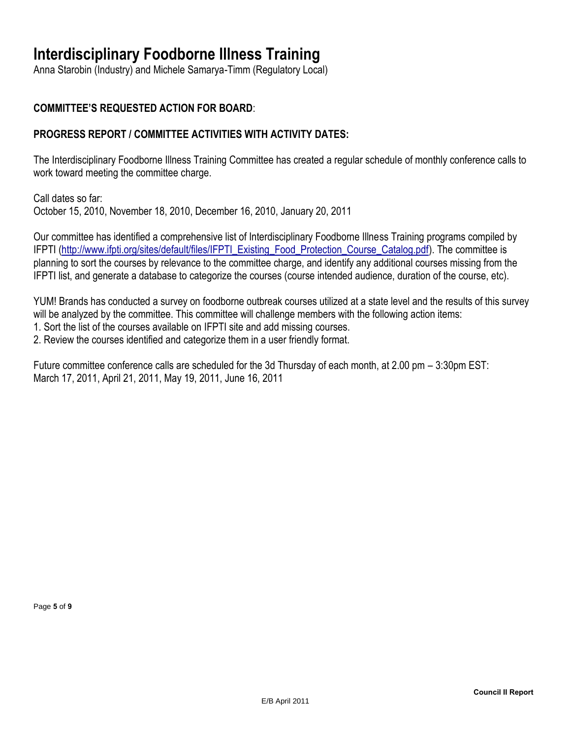### **Interdisciplinary Foodborne Illness Training**

Anna Starobin (Industry) and Michele Samarya-Timm (Regulatory Local)

#### **COMMITTEE'S REQUESTED ACTION FOR BOARD**:

#### **PROGRESS REPORT / COMMITTEE ACTIVITIES WITH ACTIVITY DATES:**

The Interdisciplinary Foodborne Illness Training Committee has created a regular schedule of monthly conference calls to work toward meeting the committee charge.

Call dates so far: October 15, 2010, November 18, 2010, December 16, 2010, January 20, 2011

Our committee has identified a comprehensive list of Interdisciplinary Foodborne Illness Training programs compiled by IFPTI [\(http://www.ifpti.org/sites/default/files/IFPTI\\_Existing\\_Food\\_Protection\\_Course\\_Catalog.pdf\)](http://www.ifpti.org/sites/default/files/IFPTI_Existing_Food_Protection_Course_Catalog.pdf). The committee is planning to sort the courses by relevance to the committee charge, and identify any additional courses missing from the IFPTI list, and generate a database to categorize the courses (course intended audience, duration of the course, etc).

YUM! Brands has conducted a survey on foodborne outbreak courses utilized at a state level and the results of this survey will be analyzed by the committee. This committee will challenge members with the following action items:

1. Sort the list of the courses available on IFPTI site and add missing courses.

2. Review the courses identified and categorize them in a user friendly format.

Future committee conference calls are scheduled for the 3d Thursday of each month, at 2.00 pm – 3:30pm EST: March 17, 2011, April 21, 2011, May 19, 2011, June 16, 2011

Page **5** of **9**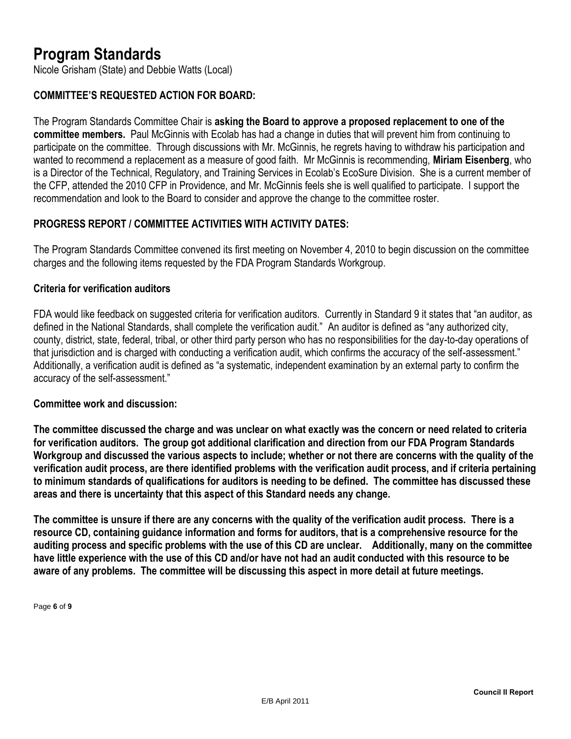### **Program Standards**

Nicole Grisham (State) and Debbie Watts (Local)

#### **COMMITTEE'S REQUESTED ACTION FOR BOARD:**

The Program Standards Committee Chair is **asking the Board to approve a proposed replacement to one of the committee members.** Paul McGinnis with Ecolab has had a change in duties that will prevent him from continuing to participate on the committee. Through discussions with Mr. McGinnis, he regrets having to withdraw his participation and wanted to recommend a replacement as a measure of good faith. Mr McGinnis is recommending, **Miriam Eisenberg**, who is a Director of the Technical, Regulatory, and Training Services in Ecolab's EcoSure Division. She is a current member of the CFP, attended the 2010 CFP in Providence, and Mr. McGinnis feels she is well qualified to participate. I support the recommendation and look to the Board to consider and approve the change to the committee roster.

#### **PROGRESS REPORT / COMMITTEE ACTIVITIES WITH ACTIVITY DATES:**

The Program Standards Committee convened its first meeting on November 4, 2010 to begin discussion on the committee charges and the following items requested by the FDA Program Standards Workgroup.

#### **Criteria for verification auditors**

FDA would like feedback on suggested criteria for verification auditors. Currently in Standard 9 it states that "an auditor, as defined in the National Standards, shall complete the verification audit." An auditor is defined as "any authorized city, county, district, state, federal, tribal, or other third party person who has no responsibilities for the day-to-day operations of that jurisdiction and is charged with conducting a verification audit, which confirms the accuracy of the self-assessment." Additionally, a verification audit is defined as "a systematic, independent examination by an external party to confirm the accuracy of the self-assessment."

#### **Committee work and discussion:**

**The committee discussed the charge and was unclear on what exactly was the concern or need related to criteria for verification auditors. The group got additional clarification and direction from our FDA Program Standards Workgroup and discussed the various aspects to include; whether or not there are concerns with the quality of the verification audit process, are there identified problems with the verification audit process, and if criteria pertaining to minimum standards of qualifications for auditors is needing to be defined. The committee has discussed these areas and there is uncertainty that this aspect of this Standard needs any change.**

**The committee is unsure if there are any concerns with the quality of the verification audit process. There is a resource CD, containing guidance information and forms for auditors, that is a comprehensive resource for the auditing process and specific problems with the use of this CD are unclear. Additionally, many on the committee have little experience with the use of this CD and/or have not had an audit conducted with this resource to be aware of any problems. The committee will be discussing this aspect in more detail at future meetings.**

Page **6** of **9**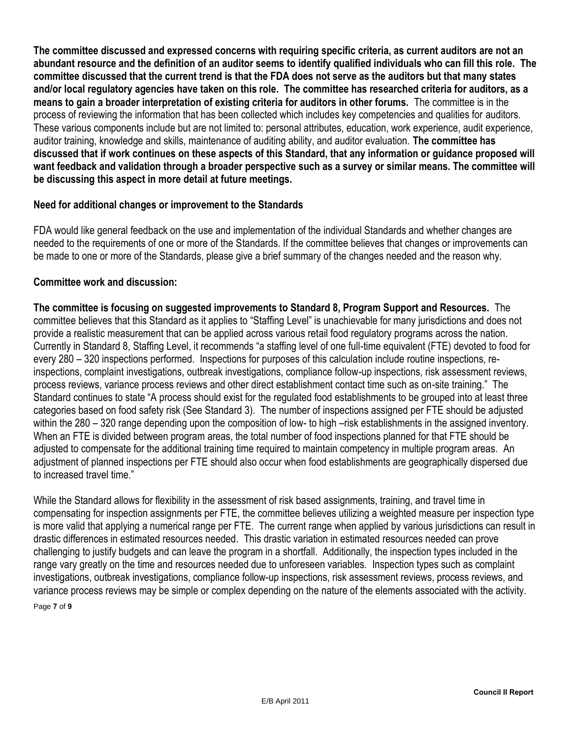**The committee discussed and expressed concerns with requiring specific criteria, as current auditors are not an abundant resource and the definition of an auditor seems to identify qualified individuals who can fill this role. The committee discussed that the current trend is that the FDA does not serve as the auditors but that many states and/or local regulatory agencies have taken on this role. The committee has researched criteria for auditors, as a means to gain a broader interpretation of existing criteria for auditors in other forums.** The committee is in the process of reviewing the information that has been collected which includes key competencies and qualities for auditors. These various components include but are not limited to: personal attributes, education, work experience, audit experience, auditor training, knowledge and skills, maintenance of auditing ability, and auditor evaluation. **The committee has discussed that if work continues on these aspects of this Standard, that any information or guidance proposed will want feedback and validation through a broader perspective such as a survey or similar means. The committee will be discussing this aspect in more detail at future meetings.**

#### **Need for additional changes or improvement to the Standards**

FDA would like general feedback on the use and implementation of the individual Standards and whether changes are needed to the requirements of one or more of the Standards. If the committee believes that changes or improvements can be made to one or more of the Standards, please give a brief summary of the changes needed and the reason why.

#### **Committee work and discussion:**

**The committee is focusing on suggested improvements to Standard 8, Program Support and Resources.** The committee believes that this Standard as it applies to "Staffing Level" is unachievable for many jurisdictions and does not provide a realistic measurement that can be applied across various retail food regulatory programs across the nation. Currently in Standard 8, Staffing Level, it recommends "a staffing level of one full-time equivalent (FTE) devoted to food for every 280 – 320 inspections performed. Inspections for purposes of this calculation include routine inspections, reinspections, complaint investigations, outbreak investigations, compliance follow-up inspections, risk assessment reviews, process reviews, variance process reviews and other direct establishment contact time such as on-site training." The Standard continues to state "A process should exist for the regulated food establishments to be grouped into at least three categories based on food safety risk (See Standard 3). The number of inspections assigned per FTE should be adjusted within the 280 – 320 range depending upon the composition of low- to high –risk establishments in the assigned inventory. When an FTE is divided between program areas, the total number of food inspections planned for that FTE should be adjusted to compensate for the additional training time required to maintain competency in multiple program areas. An adjustment of planned inspections per FTE should also occur when food establishments are geographically dispersed due to increased travel time."

While the Standard allows for flexibility in the assessment of risk based assignments, training, and travel time in compensating for inspection assignments per FTE, the committee believes utilizing a weighted measure per inspection type is more valid that applying a numerical range per FTE. The current range when applied by various jurisdictions can result in drastic differences in estimated resources needed. This drastic variation in estimated resources needed can prove challenging to justify budgets and can leave the program in a shortfall. Additionally, the inspection types included in the range vary greatly on the time and resources needed due to unforeseen variables. Inspection types such as complaint investigations, outbreak investigations, compliance follow-up inspections, risk assessment reviews, process reviews, and variance process reviews may be simple or complex depending on the nature of the elements associated with the activity.

Page **7** of **9**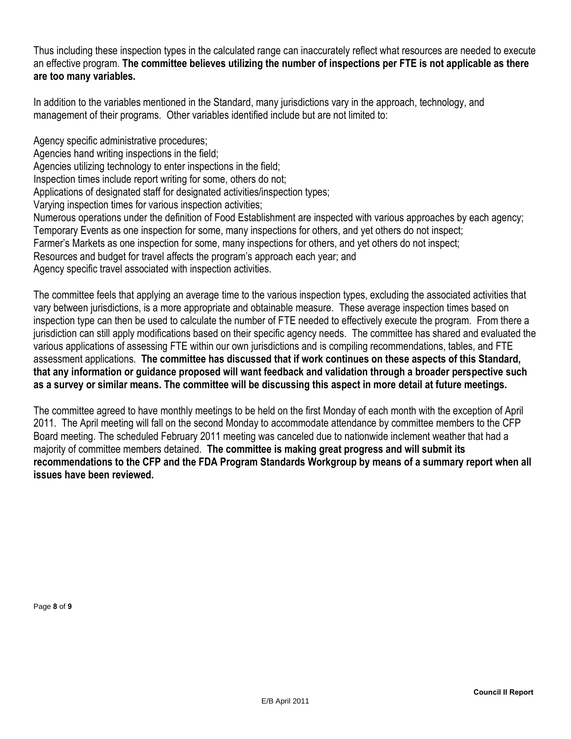Thus including these inspection types in the calculated range can inaccurately reflect what resources are needed to execute an effective program. **The committee believes utilizing the number of inspections per FTE is not applicable as there are too many variables.**

In addition to the variables mentioned in the Standard, many jurisdictions vary in the approach, technology, and management of their programs. Other variables identified include but are not limited to:

Agency specific administrative procedures;

Agencies hand writing inspections in the field;

Agencies utilizing technology to enter inspections in the field;

Inspection times include report writing for some, others do not;

Applications of designated staff for designated activities/inspection types;

Varying inspection times for various inspection activities;

Numerous operations under the definition of Food Establishment are inspected with various approaches by each agency; Temporary Events as one inspection for some, many inspections for others, and yet others do not inspect;

Farmer's Markets as one inspection for some, many inspections for others, and yet others do not inspect;

Resources and budget for travel affects the program's approach each year; and

Agency specific travel associated with inspection activities.

The committee feels that applying an average time to the various inspection types, excluding the associated activities that vary between jurisdictions, is a more appropriate and obtainable measure. These average inspection times based on inspection type can then be used to calculate the number of FTE needed to effectively execute the program. From there a jurisdiction can still apply modifications based on their specific agency needs. The committee has shared and evaluated the various applications of assessing FTE within our own jurisdictions and is compiling recommendations, tables, and FTE assessment applications. **The committee has discussed that if work continues on these aspects of this Standard, that any information or guidance proposed will want feedback and validation through a broader perspective such as a survey or similar means. The committee will be discussing this aspect in more detail at future meetings.**

The committee agreed to have monthly meetings to be held on the first Monday of each month with the exception of April 2011. The April meeting will fall on the second Monday to accommodate attendance by committee members to the CFP Board meeting. The scheduled February 2011 meeting was canceled due to nationwide inclement weather that had a majority of committee members detained. **The committee is making great progress and will submit its recommendations to the CFP and the FDA Program Standards Workgroup by means of a summary report when all issues have been reviewed.**

Page **8** of **9**